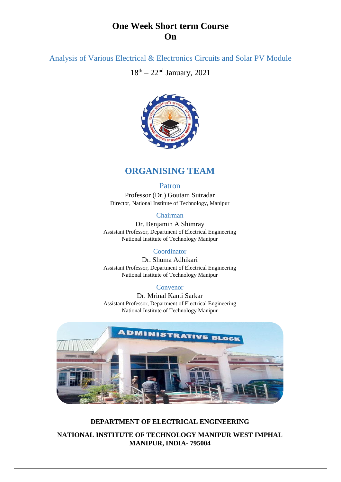# **One Week Short term Course On**

# Analysis of Various Electrical & Electronics Circuits and Solar PV Module

 $18<sup>th</sup> - 22<sup>nd</sup> January, 2021$ 



# **ORGANISING TEAM**

# Patron

Professor (Dr.) Goutam Sutradar Director, National Institute of Technology, Manipur

# Chairman

Dr. Benjamin A Shimray Assistant Professor, Department of Electrical Engineering National Institute of Technology Manipur

### Coordinator

Dr. Shuma Adhikari Assistant Professor, Department of Electrical Engineering National Institute of Technology Manipur

### Convenor

Dr. Mrinal Kanti Sarkar Assistant Professor, Department of Electrical Engineering National Institute of Technology Manipur



# **DEPARTMENT OF ELECTRICAL ENGINEERING**

**NATIONAL INSTITUTE OF TECHNOLOGY MANIPUR WEST IMPHAL MANIPUR, INDIA- 795004**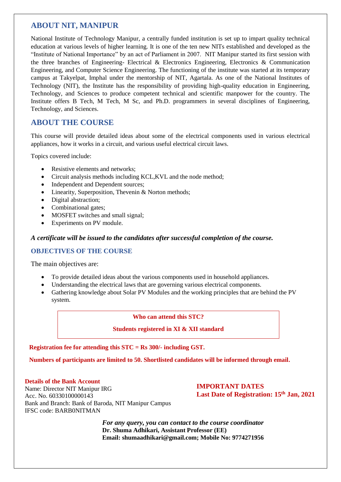# **ABOUT NIT, MANIPUR**

National Institute of Technology Manipur, a centrally funded institution is set up to impart quality technical education at various levels of higher learning. It is one of the ten new NITs established and developed as the "Institute of National Importance" by an act of Parliament in 2007. NIT Manipur started its first session with the three branches of Engineering- Electrical & Electronics Engineering, Electronics & Communication Engineering, and Computer Science Engineering. The functioning of the institute was started at its temporary campus at Takyelpat, Imphal under the mentorship of NIT, Agartala. As one of the National Institutes of Technology (NIT), the Institute has the responsibility of providing high-quality education in Engineering, Technology, and Sciences to produce competent technical and scientific manpower for the country. The Institute offers B Tech, M Tech, M Sc, and Ph.D. programmers in several disciplines of Engineering, Technology, and Sciences.

# **ABOUT THE COURSE**

This course will provide detailed ideas about some of the electrical components used in various electrical appliances, how it works in a circuit, and various useful electrical circuit laws.

Topics covered include:

- Resistive elements and networks:
- Circuit analysis methods including KCL, KVL and the node method;
- Independent and Dependent sources;
- Linearity, Superposition, Thevenin & Norton methods;
- Digital abstraction:
- Combinational gates:
- MOSFET switches and small signal;
- Experiments on PV module.

### *A certificate will be issued to the candidates after successful completion of the course.*

### **OBJECTIVES OF THE COURSE**

The main objectives are:

- To provide detailed ideas about the various components used in household appliances.
- Understanding the electrical laws that are governing various electrical components.
- Gathering knowledge about Solar PV Modules and the working principles that are behind the PV system.

#### **Who can attend this STC?**

#### **Students registered in XI & XII standard**

#### **Registration fee for attending this STC = Rs 300/- including GST.**

**Numbers of participants are limited to 50. Shortlisted candidates will be informed through email.**

#### **Details of the Bank Account**

Name: Director NIT Manipur IRG Acc. No. 60330100000143 Bank and Branch: Bank of Baroda, NIT Manipur Campus IFSC code: BARB0NITMAN

**IMPORTANT DATES Last Date of Registration: 15th Jan, 2021** 

*For any query, you can contact to the course coordinator*  **Dr. Shuma Adhikari, Assistant Professor (EE) Email: shumaadhikari@gmail.com; Mobile No: 9774271956**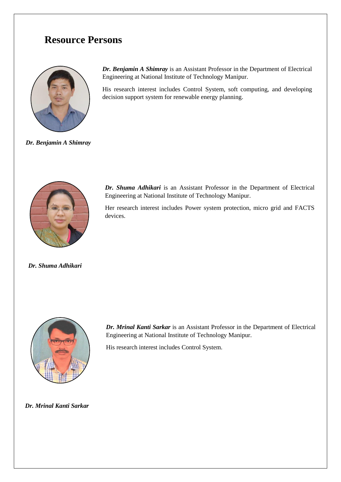# **Resource Persons**



*Dr. Benjamin A Shimray*

*Dr. Benjamin A Shimray* is an Assistant Professor in the Department of Electrical Engineering at National Institute of Technology Manipur.

His research interest includes Control System, soft computing, and developing decision support system for renewable energy planning.



*Dr. Shuma Adhikari* is an Assistant Professor in the Department of Electrical Engineering at National Institute of Technology Manipur.

Her research interest includes Power system protection, micro grid and FACTS devices.

*Dr. Shuma Adhikari*



*Dr. Mrinal Kanti Sarkar* is an Assistant Professor in the Department of Electrical Engineering at National Institute of Technology Manipur.

His research interest includes Control System.

*Dr. Mrinal Kanti Sarkar*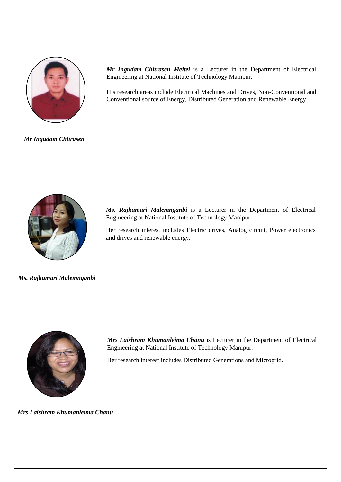

*Mr Ingudam Chitrasen Meitei* is a Lecturer in the Department of Electrical Engineering at National Institute of Technology Manipur.

His research areas include Electrical Machines and Drives, Non-Conventional and Conventional source of Energy, Distributed Generation and Renewable Energy.

*Mr Ingudam Chitrasen* 



*Ms. Rajkumari Malemnganbi* is a Lecturer in the Department of Electrical Engineering at National Institute of Technology Manipur.

Her research interest includes Electric drives, Analog circuit, Power electronics and drives and renewable energy.

*Ms. Rajkumari Malemnganbi*



*Mrs Laishram Khumanleima Chanu* is Lecturer in the Department of Electrical Engineering at National Institute of Technology Manipur.

Her research interest includes Distributed Generations and Microgrid.

*Mrs Laishram Khumanleima Chanu*